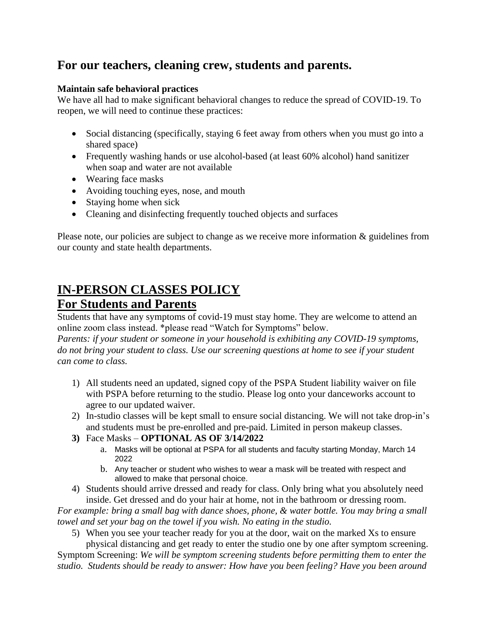## **For our teachers, cleaning crew, students and parents.**

## **Maintain safe behavioral practices**

We have all had to make significant behavioral changes to reduce the spread of COVID-19. To reopen, we will need to continue these practices:

- Social distancing (specifically, staying 6 feet away from others when you must go into a shared space)
- Frequently washing hands or use alcohol-based (at least 60% alcohol) hand sanitizer when soap and water are not available
- Wearing face masks
- Avoiding touching eyes, nose, and mouth
- Staying home when sick
- Cleaning and disinfecting frequently touched objects and surfaces

Please note, our policies are subject to change as we receive more information & guidelines from our county and state health departments.

## **IN-PERSON CLASSES POLICY For Students and Parents**

Students that have any symptoms of covid-19 must stay home. They are welcome to attend an online zoom class instead. \*please read "Watch for Symptoms" below.

*Parents: if your student or someone in your household is exhibiting any COVID-19 symptoms, do not bring your student to class. Use our screening questions at home to see if your student can come to class.* 

- 1) All students need an updated, signed copy of the PSPA Student liability waiver on file with PSPA before returning to the studio. Please log onto your danceworks account to agree to our updated waiver.
- 2) In-studio classes will be kept small to ensure social distancing. We will not take drop-in's and students must be pre-enrolled and pre-paid. Limited in person makeup classes.
- **3)** Face Masks **OPTIONAL AS OF 3/14/2022**
	- a. Masks will be optional at PSPA for all students and faculty starting Monday, March 14 2022
	- b. Any teacher or student who wishes to wear a mask will be treated with respect and allowed to make that personal choice.
- 4) Students should arrive dressed and ready for class. Only bring what you absolutely need inside. Get dressed and do your hair at home, not in the bathroom or dressing room.

*For example: bring a small bag with dance shoes, phone, & water bottle. You may bring a small towel and set your bag on the towel if you wish. No eating in the studio.*

5) When you see your teacher ready for you at the door, wait on the marked Xs to ensure physical distancing and get ready to enter the studio one by one after symptom screening.

Symptom Screening: *We will be symptom screening students before permitting them to enter the studio. Students should be ready to answer: How have you been feeling? Have you been around*